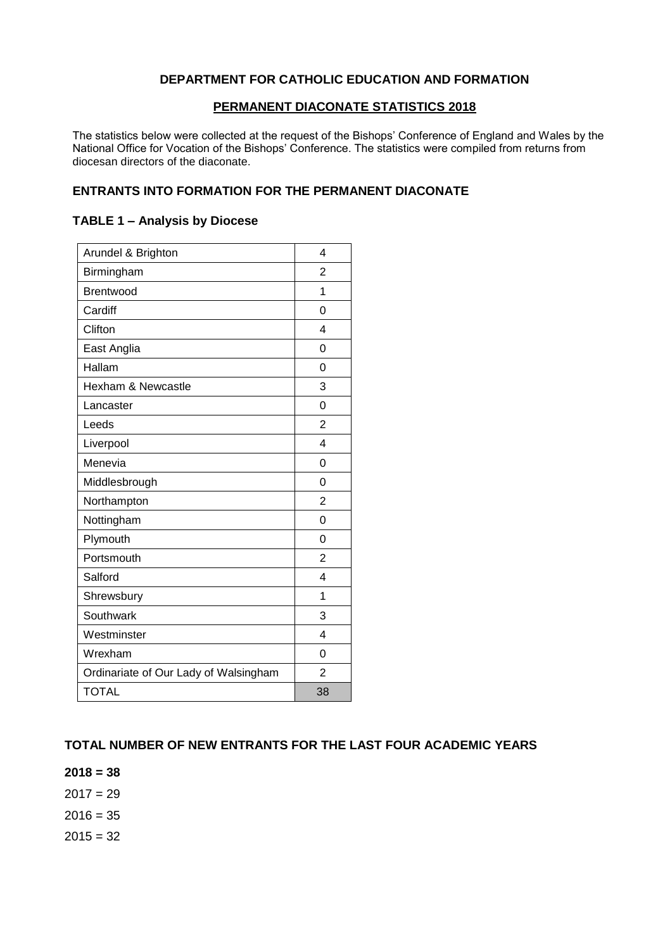#### **DEPARTMENT FOR CATHOLIC EDUCATION AND FORMATION**

#### **PERMANENT DIACONATE STATISTICS 2018**

The statistics below were collected at the request of the Bishops' Conference of England and Wales by the National Office for Vocation of the Bishops' Conference. The statistics were compiled from returns from diocesan directors of the diaconate.

#### **ENTRANTS INTO FORMATION FOR THE PERMANENT DIACONATE**

#### **TABLE 1 – Analysis by Diocese**

| Arundel & Brighton                    | 4              |
|---------------------------------------|----------------|
| Birmingham                            | 2              |
| <b>Brentwood</b>                      | 1              |
| Cardiff                               | 0              |
| Clifton                               | 4              |
| East Anglia                           | $\Omega$       |
| Hallam                                | 0              |
| Hexham & Newcastle                    | 3              |
| Lancaster                             | $\Omega$       |
| Leeds                                 | 2              |
| Liverpool                             | 4              |
| Menevia                               | 0              |
| Middlesbrough                         | 0              |
| Northampton                           | $\overline{2}$ |
| Nottingham                            | 0              |
| Plymouth                              | $\Omega$       |
| Portsmouth                            | $\overline{2}$ |
| Salford                               | 4              |
| Shrewsbury                            | 1              |
| Southwark                             | 3              |
| Westminster                           | 4              |
| Wrexham                               | 0              |
| Ordinariate of Our Lady of Walsingham | $\overline{2}$ |
| <b>TOTAL</b>                          | 38             |

#### **TOTAL NUMBER OF NEW ENTRANTS FOR THE LAST FOUR ACADEMIC YEARS**

**2018 = 38**

 $2017 = 29$ 

 $2016 = 35$ 

 $2015 = 32$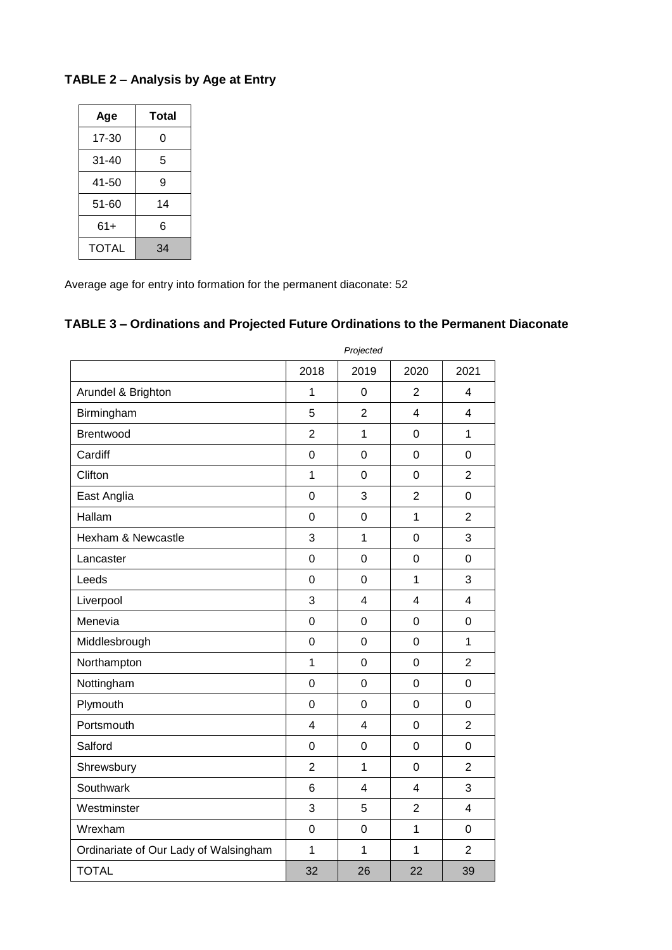## **TABLE 2 – Analysis by Age at Entry**

| Age   | Total |  |  |
|-------|-------|--|--|
| 17-30 | 0     |  |  |
| 31-40 | 5     |  |  |
| 41-50 | 9     |  |  |
| 51-60 | 14    |  |  |
| 61+   | 6     |  |  |
| TOTAL | 34    |  |  |

Average age for entry into formation for the permanent diaconate: 52

# **TABLE 3 – Ordinations and Projected Future Ordinations to the Permanent Diaconate**

|                                       | Piojectea               |                |                         |                  |
|---------------------------------------|-------------------------|----------------|-------------------------|------------------|
|                                       | 2018                    | 2019           | 2020                    | 2021             |
| Arundel & Brighton                    | 1                       | $\mathbf 0$    | $\overline{2}$          | 4                |
| Birmingham                            | 5                       | $\overline{2}$ | $\overline{\mathbf{4}}$ | $\overline{4}$   |
| Brentwood                             | $\overline{c}$          | $\overline{1}$ | $\mathbf 0$             | $\mathbf{1}$     |
| Cardiff                               | 0                       | $\mathbf 0$    | $\mathbf 0$             | $\mathbf 0$      |
| Clifton                               | $\mathbf{1}$            | $\overline{0}$ | $\overline{0}$          | $\overline{2}$   |
| East Anglia                           | $\boldsymbol{0}$        | 3              | $\overline{2}$          | $\mathbf 0$      |
| Hallam                                | $\mathbf 0$             | $\mathbf 0$    | $\mathbf{1}$            | $\overline{2}$   |
| Hexham & Newcastle                    | 3                       | 1              | $\boldsymbol{0}$        | 3                |
| Lancaster                             | 0                       | $\mathbf 0$    | $\overline{0}$          | $\mathbf 0$      |
| Leeds                                 | $\mathbf 0$             | $\overline{0}$ | $\mathbf{1}$            | 3                |
| Liverpool                             | 3                       | $\overline{4}$ | $\overline{\mathbf{4}}$ | $\overline{4}$   |
| Menevia                               | $\mathbf 0$             | $\mathbf 0$    | $\mathbf 0$             | $\mathbf 0$      |
| Middlesbrough                         | $\mathbf 0$             | $\overline{0}$ | $\overline{0}$          | $\mathbf{1}$     |
| Northampton                           | $\mathbf{1}$            | $\mathbf 0$    | $\mathbf 0$             | $\overline{2}$   |
| Nottingham                            | $\mathbf 0$             | $\mathbf 0$    | $\mathbf 0$             | $\mathbf 0$      |
| Plymouth                              | $\mathbf 0$             | $\mathbf 0$    | $\mathbf 0$             | $\mathbf 0$      |
| Portsmouth                            | $\overline{\mathbf{4}}$ | $\overline{4}$ | $\overline{0}$          | $\overline{2}$   |
| Salford                               | $\mathbf 0$             | $\mathbf 0$    | $\overline{0}$          | $\mathbf 0$      |
| Shrewsbury                            | $\overline{2}$          | $\mathbf{1}$   | $\mathbf 0$             | $\overline{2}$   |
| Southwark                             | 6                       | $\overline{4}$ | $\overline{\mathbf{4}}$ | 3                |
| Westminster                           | 3                       | 5              | $\overline{2}$          | $\overline{4}$   |
| Wrexham                               | 0                       | $\mathbf 0$    | $\mathbf{1}$            | $\boldsymbol{0}$ |
| Ordinariate of Our Lady of Walsingham | $\mathbf{1}$            | $\mathbf{1}$   | $\mathbf{1}$            | $\overline{2}$   |
| <b>TOTAL</b>                          | 32                      | 26             | 22                      | 39               |

*Projected*